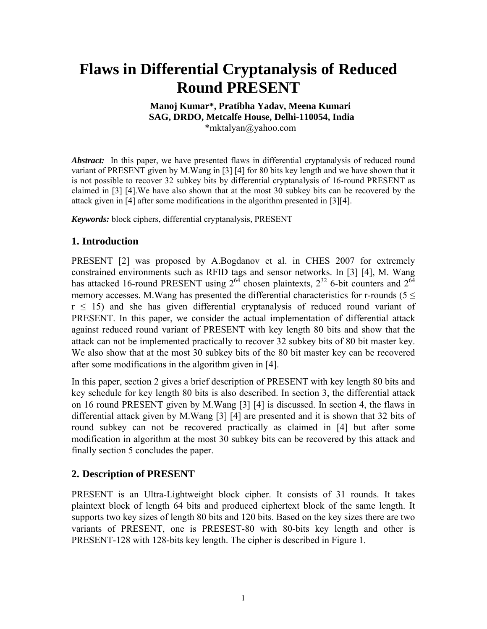# **Flaws in Differential Cryptanalysis of Reduced Round PRESENT**

#### **Manoj Kumar\*, Pratibha Yadav, Meena Kumari SAG, DRDO, Metcalfe House, Delhi-110054, India**  \*[mktalyan@yahoo.com](mailto:mktalyan@yahoo.com)

Abstract: In this paper, we have presented flaws in differential cryptanalysis of reduced round variant of PRESENT given by M.Wang in [3] [4] for 80 bits key length and we have shown that it is not possible to recover 32 subkey bits by differential cryptanalysis of 16-round PRESENT as claimed in [3] [4].We have also shown that at the most 30 subkey bits can be recovered by the attack given in [4] after some modifications in the algorithm presented in [3][4].

*Keywords:* block ciphers, differential cryptanalysis, PRESENT

# **1. Introduction**

PRESENT [2] was proposed by A.Bogdanov et al. in CHES 2007 for extremely constrained environments such as RFID tags and sensor networks. In [3] [4], M. Wang has attacked 16-round PRESENT using  $2^{64}$  chosen plaintexts,  $2^{32}$  6-bit counters and  $2^{64}$ memory accesses. M. Wang has presented the differential characteristics for r-rounds ( $5 \le$  $r \leq 15$ ) and she has given differential cryptanalysis of reduced round variant of PRESENT. In this paper, we consider the actual implementation of differential attack against reduced round variant of PRESENT with key length 80 bits and show that the attack can not be implemented practically to recover 32 subkey bits of 80 bit master key. We also show that at the most 30 subkey bits of the 80 bit master key can be recovered after some modifications in the algorithm given in [4].

In this paper, section 2 gives a brief description of PRESENT with key length 80 bits and key schedule for key length 80 bits is also described. In section 3, the differential attack on 16 round PRESENT given by M.Wang [3] [4] is discussed. In section 4, the flaws in differential attack given by M.Wang [3] [4] are presented and it is shown that 32 bits of round subkey can not be recovered practically as claimed in [4] but after some modification in algorithm at the most 30 subkey bits can be recovered by this attack and finally section 5 concludes the paper.

#### **2. Description of PRESENT**

PRESENT is an Ultra-Lightweight block cipher. It consists of 31 rounds. It takes plaintext block of length 64 bits and produced ciphertext block of the same length. It supports two key sizes of length 80 bits and 120 bits. Based on the key sizes there are two variants of PRESENT, one is PRESEST-80 with 80-bits key length and other is PRESENT-128 with 128-bits key length. The cipher is described in Figure 1.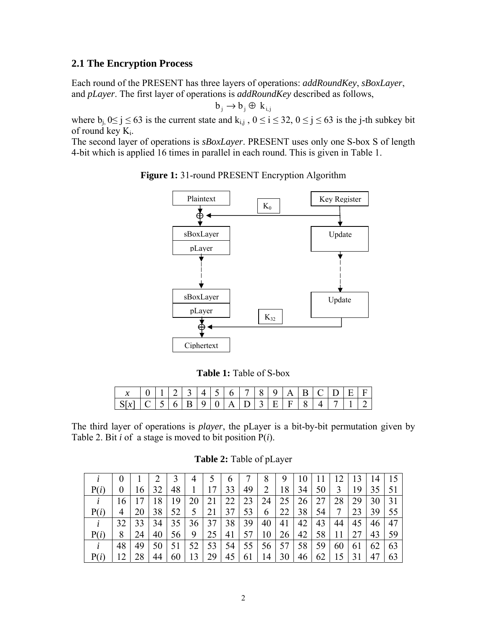#### **2.1 The Encryption Process**

Each round of the PRESENT has three layers of operations: *addRoundKey*, *sBoxLayer*, and *pLayer*. The first layer of operations is *addRoundKey* described as follows,

$$
b_j \to b_j \oplus k_{i,j}
$$

where  $b_i$ ,  $0 \le j \le 63$  is the current state and  $k_{i,j}$ ,  $0 \le i \le 32$ ,  $0 \le j \le 63$  is the j-th subkey bit of round key  $K_i$ .

The second layer of operations is *sBoxLayer*. PRESENT uses only one S-box S of length 4-bit which is applied 16 times in parallel in each round. This is given in Table 1.



**Figure 1:** 31-round PRESENT Encryption Algorithm

**Table 1:** Table of S-box

|   |  |          |              |             |   |   |          |    | А  |              |  | $\mathbf{H}$ |  |
|---|--|----------|--------------|-------------|---|---|----------|----|----|--------------|--|--------------|--|
| N |  | <b>b</b> | $\mathbf{R}$ | $\mathbf Q$ | Δ | ∸ | $\sim$ 1 | н. | н. | $\mathsf{R}$ |  |              |  |

The third layer of operations is *player*, the pLayer is a bit-by-bit permutation given by Table 2. Bit *i* of a stage is moved to bit position P(*i*).

**Table 2:** Table of pLayer

|      |          |    |    |                 | 4              | 5.          | $\mathbf{a}$    |         | 8.                        | 9                                               | 10                | Ħ  | 12             | 13              | 14 |            |
|------|----------|----|----|-----------------|----------------|-------------|-----------------|---------|---------------------------|-------------------------------------------------|-------------------|----|----------------|-----------------|----|------------|
| P(i) | $\theta$ | 16 | 32 | 48              | $\mathbf{1}$   | 17          | 33              | 49      | 2                         | 18                                              | 34                | 50 | $\overline{3}$ | 19              | 35 | $\vert 51$ |
|      | 16       | 17 | 18 | 19              | 20             | 21          |                 |         | $22 \mid 23 \mid 24 \mid$ |                                                 | $25 \mid 26 \mid$ | 27 | 28             | 29              | 30 |            |
|      | 4        | 20 | 38 | 52              | 5 <sup>1</sup> | 21          | 37 <sup>1</sup> |         | 53   6                    | 22                                              | 38                | 54 | 7 <sup>1</sup> | 23              | 39 | 55         |
|      | 32       | 33 |    |                 |                | 34 35 36 37 |                 | 38   39 | 40                        | 41                                              | 42                | 43 | 44             | 45              | 46 | 47         |
|      | 8        | 24 | 40 | 56 <sup>1</sup> | 9              | 25          |                 |         |                           | $ 41 $ 57   10   26                             | $-42$             | 58 | $+11$ $+$      | 27 <sup>1</sup> | 43 | - 59       |
|      |          | 49 |    |                 |                |             |                 |         |                           | 50   51   52   53   54   55   56   57   58   59 |                   |    | 60             | 61              | 62 | 63         |
|      | 12       | 28 | 44 | 60              | $\vert$ 13     | 29          |                 |         |                           | $45 \mid 61 \mid 14 \mid 30 \mid$               | 46                |    | $62$   15   31 |                 |    | 63         |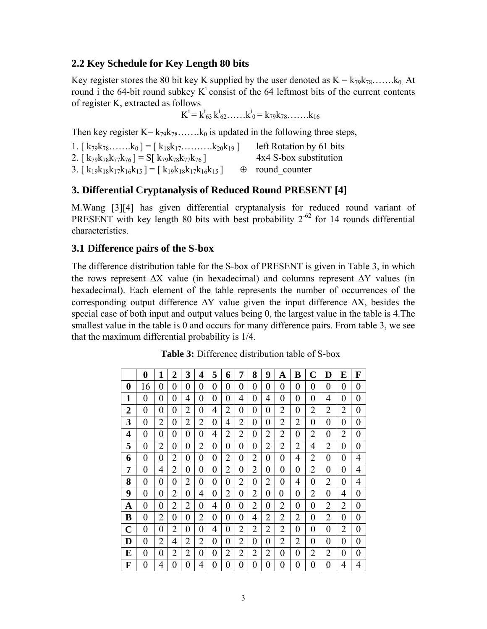## **2.2 Key Schedule for Key Length 80 bits**

Key register stores the 80 bit key K supplied by the user denoted as  $K = k_{79}k_{78}$ ……. $k_0$  At round i the 64-bit round subkey  $K^i$  consist of the 64 leftmost bits of the current contents of register K, extracted as follows

$$
K^{i} = k^{i}_{63} k^{i}_{62} \dots k^{i}_{0} = k_{79} k_{78} \dots k_{16}
$$

Then key register  $K = k_{79}k_{78}$ ....... $k_0$  is updated in the following three steps,

| 1. $\begin{bmatrix} k_{79}k_{78}k_0 \end{bmatrix} = \begin{bmatrix} k_{18}k_{17}k_{20}k_{19} \end{bmatrix}$ | left Rotation by 61 bits |
|-------------------------------------------------------------------------------------------------------------|--------------------------|
| 2. [ $k_{79}k_{78}k_{77}k_{76}$ ] = S[ $k_{79}k_{78}k_{77}k_{76}$ ]                                         | 4x4 S-box substitution   |
| 3. [ $k_{19}k_{18}k_{17}k_{16}k_{15}$ ] = [ $k_{19}k_{18}k_{17}k_{16}k_{15}$ ]                              | $\oplus$ round counter   |

### **3. Differential Cryptanalysis of Reduced Round PRESENT [4]**

M.Wang [3][4] has given differential cryptanalysis for reduced round variant of PRESENT with key length 80 bits with best probability  $2^{-62}$  for 14 rounds differential characteristics.

### **3.1 Difference pairs of the S-box**

The difference distribution table for the S-box of PRESENT is given in Table 3, in which the rows represent  $\Delta X$  value (in hexadecimal) and columns represent  $\Delta Y$  values (in hexadecimal). Each element of the table represents the number of occurrences of the corresponding output difference  $\Delta Y$  value given the input difference  $\Delta X$ , besides the special case of both input and output values being 0, the largest value in the table is 4.The smallest value in the table is 0 and occurs for many difference pairs. From table 3, we see that the maximum differential probability is 1/4.

|   | 0              | 1              | 2              | 3              | 4              | 5              | 6              | 7              | 8              | 9              | A              | B              | C              | D              | E              | F              |
|---|----------------|----------------|----------------|----------------|----------------|----------------|----------------|----------------|----------------|----------------|----------------|----------------|----------------|----------------|----------------|----------------|
| 0 | 16             | 0              | 0              | 0              | 0              | 0              | 0              | 0              | 0              | 0              | $\overline{0}$ | $\overline{0}$ | 0              | 0              | $\overline{0}$ | 0              |
| 1 | 0              | 0              | 0              | 4              | 0              | $\overline{0}$ | 0              | 4              | 0              | 4              | 0              | 0              | 0              | 4              | $\overline{0}$ | $\overline{0}$ |
| 2 | $\overline{0}$ | 0              | 0              | 2              | 0              | 4              | $\overline{2}$ | 0              | 0              | 0              | 2              | 0              | 2              | $\overline{2}$ | 2              | 0              |
| 3 | $\overline{0}$ | $\overline{2}$ | 0              | $\overline{2}$ | $\overline{2}$ | $\overline{0}$ | 4              | $\overline{2}$ | $\overline{0}$ | 0              | $\overline{2}$ | $\overline{2}$ | 0              | $\overline{0}$ | $\overline{0}$ | $\overline{0}$ |
| 4 | 0              | 0              | 0              | 0              | 0              | 4              | 2              | 2              | 0              | $\overline{2}$ | 2              | 0              | 2              | 0              | 2              | 0              |
| 5 | $\overline{0}$ | $\overline{2}$ | 0              | 0              | $\overline{2}$ | 0              | 0              | 0              | 0              | 2              | 2              | $\overline{2}$ | 4              | $\overline{2}$ | $\overline{0}$ | 0              |
| 6 | $\overline{0}$ | 0              | 2              | 0              | 0              | 0              | 2              | 0              | 2              | 0              | 0              | $\overline{4}$ | 2              | 0              | $\overline{0}$ | 4              |
| 7 | 0              | 4              | $\overline{2}$ | 0              | 0              | 0              | $\overline{2}$ | 0              | 2              | 0              | 0              | 0              | 2              | 0              | $\overline{0}$ | 4              |
| 8 | $\overline{0}$ | 0              | 0              | $\overline{2}$ | 0              | 0              | 0              | $\overline{2}$ | 0              | 2              | 0              | 4              | 0              | 2              | $\overline{0}$ | 4              |
| 9 | $\overline{0}$ | 0              | $\overline{2}$ | 0              | 4              | 0              | $\overline{2}$ | $\overline{0}$ | $\overline{2}$ | 0              | 0              | $\overline{0}$ | 2              | 0              | 4              | 0              |
| A | $\overline{0}$ | 0              | $\overline{2}$ | 2              | 0              | 4              | 0              | 0              | 2              | 0              | 2              | 0              | 0              | 2              | 2              | 0              |
| B | 0              | 2              | 0              | 0              | $\overline{2}$ | 0              | 0              | 0              | 4              | 2              | 2              | 2              | 0              | 2              | 0              | 0              |
| C | $\overline{0}$ | 0              | 2              | 0              | 0              | 4              | 0              | 2              | 2              | 2              | 2              | 0              | 0              | 0              | 2              | 0              |
| D | 0              | $\overline{2}$ | 4              | $\overline{2}$ | $\overline{2}$ | 0              | 0              | $\overline{2}$ | 0              | 0              | 2              | $\overline{2}$ | 0              | $\theta$       | 0              | 0              |
| E | $\overline{0}$ | 0              | 2              | 2              | 0              | 0              | $\overline{2}$ | $\overline{2}$ | $\overline{2}$ | $\overline{2}$ | 0              | 0              | $\overline{2}$ | 2              | $\overline{0}$ | 0              |
| F | 0              | 4              | 0              | 0              | 4              | $\overline{0}$ | 0              | $\overline{0}$ | 0              | 0              | 0              | 0              | 0              | 0              | 4              | 4              |

**Table 3:** Difference distribution table of S-box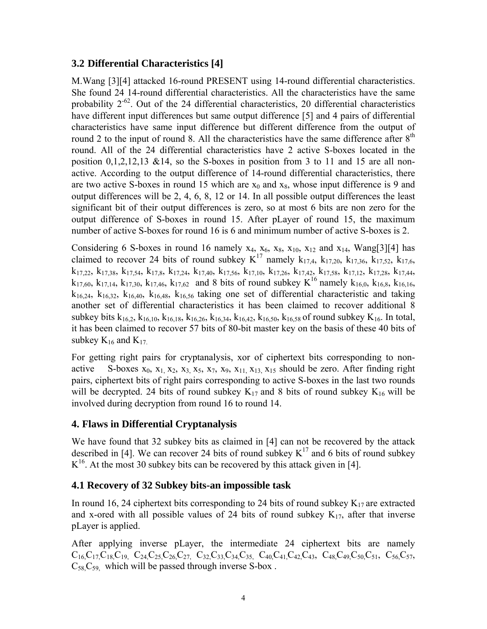# **3.2 Differential Characteristics [4]**

M.Wang [3][4] attacked 16-round PRESENT using 14-round differential characteristics. She found 24 14-round differential characteristics. All the characteristics have the same probability  $2^{-62}$ . Out of the 24 differential characteristics, 20 differential characteristics have different input differences but same output difference [5] and 4 pairs of differential characteristics have same input difference but different difference from the output of round 2 to the input of round 8. All the characteristics have the same difference after  $8<sup>th</sup>$ round. All of the 24 differential characteristics have 2 active S-boxes located in the position  $0,1,2,12,13$  &14, so the S-boxes in position from 3 to 11 and 15 are all nonactive. According to the output difference of 14-round differential characteristics, there are two active S-boxes in round 15 which are  $x_0$  and  $x_8$ , whose input difference is 9 and output differences will be 2, 4, 6, 8, 12 or 14. In all possible output differences the least significant bit of their output differences is zero, so at most 6 bits are non zero for the output difference of S-boxes in round 15. After pLayer of round 15, the maximum number of active S-boxes for round 16 is 6 and minimum number of active S-boxes is 2.

Considering 6 S-boxes in round 16 namely  $x_4$ ,  $x_6$ ,  $x_8$ ,  $x_{10}$ ,  $x_{12}$  and  $x_{14}$ , Wang[3][4] has claimed to recover 24 bits of round subkey  $K^{17}$  namely  $k_{17,4}$ ,  $k_{17,20}$ ,  $k_{17,36}$ ,  $k_{17,52}$ ,  $k_{17,6}$ ,  $k_{17,22}$ ,  $k_{17,38}$ ,  $k_{17,54}$ ,  $k_{17,8}$ ,  $k_{17,24}$ ,  $k_{17,40}$ ,  $k_{17,56}$ ,  $k_{17,10}$ ,  $k_{17,42}$ ,  $k_{17,54}$ ,  $k_{17,12}$ ,  $k_{17,28}$ ,  $k_{17,44}$ ,  $k_{17,60}$ ,  $k_{17,14}$ ,  $k_{17,30}$ ,  $k_{17,46}$ ,  $k_{17,62}$  and 8 bits of round subkey  $K^{16}$  namely  $k_{16,0}$ ,  $k_{16,8}$ ,  $k_{16,16}$ ,  $k_{16,24}$ ,  $k_{16,32}$ ,  $k_{16,40}$ ,  $k_{16,48}$ ,  $k_{16,56}$  taking one set of differential characteristic and taking another set of differential characteristics it has been claimed to recover additional 8 subkey bits  $k_{16,2}$ ,  $k_{16,10}$ ,  $k_{16,18}$ ,  $k_{16,26}$ ,  $k_{16,34}$ ,  $k_{16,42}$ ,  $k_{16,50}$ ,  $k_{16,58}$  of round subkey  $K_{16}$ . In total, it has been claimed to recover 57 bits of 80-bit master key on the basis of these 40 bits of subkey  $K_{16}$  and  $K_{17}$ .

For getting right pairs for cryptanalysis, xor of ciphertext bits corresponding to nonactive S-boxes  $x_0$ ,  $x_1$ ,  $x_2$ ,  $x_3$ ,  $x_5$ ,  $x_7$ ,  $x_9$ ,  $x_{11}$ ,  $x_{13}$ ,  $x_{15}$  should be zero. After finding right pairs, ciphertext bits of right pairs corresponding to active S-boxes in the last two rounds will be decrypted. 24 bits of round subkey  $K_{17}$  and 8 bits of round subkey  $K_{16}$  will be involved during decryption from round 16 to round 14.

# **4. Flaws in Differential Cryptanalysis**

We have found that 32 subkey bits as claimed in [4] can not be recovered by the attack described in [4]. We can recover 24 bits of round subkey  $K^{17}$  and 6 bits of round subkey  $K^{16}$ . At the most 30 subkey bits can be recovered by this attack given in [4].

# **4.1 Recovery of 32 Subkey bits-an impossible task**

In round 16, 24 ciphertext bits corresponding to 24 bits of round subkey  $K_{17}$  are extracted and x-ored with all possible values of 24 bits of round subkey  $K_{17}$ , after that inverse pLayer is applied.

After applying inverse pLayer, the intermediate 24 ciphertext bits are namely  $C_{16}C_{17}C_{18}C_{19}$ ,  $C_{24}C_{25}C_{26}C_{27}$ ,  $C_{32}C_{33}C_{34}C_{35}$ ,  $C_{40}C_{41}C_{42}C_{43}$ ,  $C_{48}C_{49}C_{50}C_{51}$ ,  $C_{56}C_{57}$ ,  $C_{58}C_{59}$ , which will be passed through inverse S-box.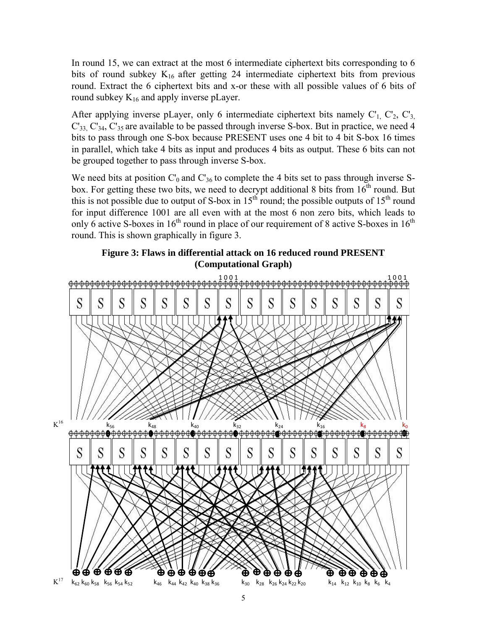In round 15, we can extract at the most 6 intermediate ciphertext bits corresponding to 6 bits of round subkey  $K_{16}$  after getting 24 intermediate ciphertext bits from previous round. Extract the 6 ciphertext bits and x-or these with all possible values of 6 bits of round subkey  $K_{16}$  and apply inverse pLayer.

After applying inverse pLayer, only 6 intermediate ciphertext bits namely  $C_1$ ,  $C_2$ ,  $C_3$  $C_{33}$ ,  $C_{34}$ ,  $C_{35}$  are available to be passed through inverse S-box. But in practice, we need 4 bits to pass through one S-box because PRESENT uses one 4 bit to 4 bit S-box 16 times in parallel, which take 4 bits as input and produces 4 bits as output. These 6 bits can not be grouped together to pass through inverse S-box.

We need bits at position  $C_0$  and  $C_{36}$  to complete the 4 bits set to pass through inverse Sbox. For getting these two bits, we need to decrypt additional 8 bits from  $16^{th}$  round. But this is not possible due to output of S-box in 15<sup>th</sup> round; the possible outputs of 15<sup>th</sup> round for input difference 1001 are all even with at the most 6 non zero bits, which leads to only 6 active S-boxes in  $16<sup>th</sup>$  round in place of our requirement of 8 active S-boxes in  $16<sup>th</sup>$ round. This is shown graphically in figure 3.



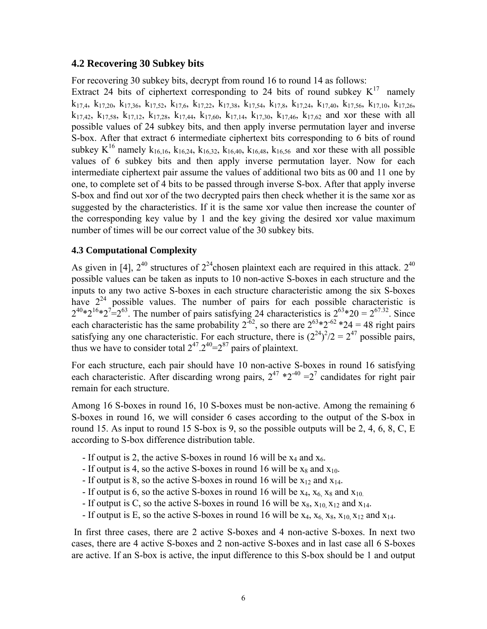#### **4.2 Recovering 30 Subkey bits**

For recovering 30 subkey bits, decrypt from round 16 to round 14 as follows:

Extract 24 bits of ciphertext corresponding to 24 bits of round subkey  $K^{17}$  namely  $k_{17,4}$ ,  $k_{17,20}$ ,  $k_{17,36}$ ,  $k_{17,52}$ ,  $k_{17,6}$ ,  $k_{17,22}$ ,  $k_{17,38}$ ,  $k_{17,54}$ ,  $k_{17,8}$ ,  $k_{17,40}$ ,  $k_{17,56}$ ,  $k_{17,10}$ ,  $k_{17,26}$ ,  $k_{17,42}$ ,  $k_{17,58}$ ,  $k_{17,12}$ ,  $k_{17,28}$ ,  $k_{17,44}$ ,  $k_{17,60}$ ,  $k_{17,14}$ ,  $k_{17,30}$ ,  $k_{17,46}$ ,  $k_{17,62}$  and xor these with all possible values of 24 subkey bits, and then apply inverse permutation layer and inverse S-box. After that extract 6 intermediate ciphertext bits corresponding to 6 bits of round subkey  $K^{16}$  namely  $k_{16,16}$ ,  $k_{16,24}$ ,  $k_{16,32}$ ,  $k_{16,40}$ ,  $k_{16,48}$ ,  $k_{16,56}$  and xor these with all possible values of 6 subkey bits and then apply inverse permutation layer. Now for each intermediate ciphertext pair assume the values of additional two bits as 00 and 11 one by one, to complete set of 4 bits to be passed through inverse S-box. After that apply inverse S-box and find out xor of the two decrypted pairs then check whether it is the same xor as suggested by the characteristics. If it is the same xor value then increase the counter of the corresponding key value by 1 and the key giving the desired xor value maximum number of times will be our correct value of the 30 subkey bits.

#### **4.3 Computational Complexity**

As given in [4],  $2^{40}$  structures of  $2^{24}$ chosen plaintext each are required in this attack.  $2^{40}$ possible values can be taken as inputs to 10 non-active S-boxes in each structure and the inputs to any two active S-boxes in each structure characteristic among the six S-boxes have  $2^{24}$  possible values. The number of pairs for each possible characteristic is  $2^{40}*2^{16}*2^7=2^{63}$ . The number of pairs satisfying 24 characteristics is  $2^{63}*20 = 2^{67.32}$ . Since each characteristic has the same probability  $2^{-62}$ , so there are  $2^{63}*2^{62}*24 = 48$  right pairs satisfying any one characteristic. For each structure, there is  $(2^{24})^2/2 = 2^{47}$  possible pairs, thus we have to consider total  $2^{47} \cdot 2^{40} = 2^{87}$  pairs of plaintext.

For each structure, each pair should have 10 non-active S-boxes in round 16 satisfying each characteristic. After discarding wrong pairs,  $2^{47}$  \* $2^{-40}$  = $2^7$  candidates for right pair remain for each structure.

Among 16 S-boxes in round 16, 10 S-boxes must be non-active. Among the remaining 6 S-boxes in round 16, we will consider 6 cases according to the output of the S-box in round 15. As input to round 15 S-box is 9, so the possible outputs will be 2, 4, 6, 8, C, E according to S-box difference distribution table.

- If output is 2, the active S-boxes in round 16 will be  $x_4$  and  $x_6$ .
- If output is 4, so the active S-boxes in round 16 will be  $x_8$  and  $x_{10}$ .
- If output is 8, so the active S-boxes in round 16 will be  $x_{12}$  and  $x_{14}$ .
- If output is 6, so the active S-boxes in round 16 will be  $x_4$ ,  $x_6$   $x_8$  and  $x_{10}$ .
- If output is C, so the active S-boxes in round 16 will be  $x_8$ ,  $x_{10}$ ,  $x_{12}$  and  $x_{14}$ .
- If output is E, so the active S-boxes in round 16 will be  $x_4$ ,  $x_6$ ,  $x_8$ ,  $x_{10}$ ,  $x_{12}$  and  $x_{14}$ .

 In first three cases, there are 2 active S-boxes and 4 non-active S-boxes. In next two cases, there are 4 active S-boxes and 2 non-active S-boxes and in last case all 6 S-boxes are active. If an S-box is active, the input difference to this S-box should be 1 and output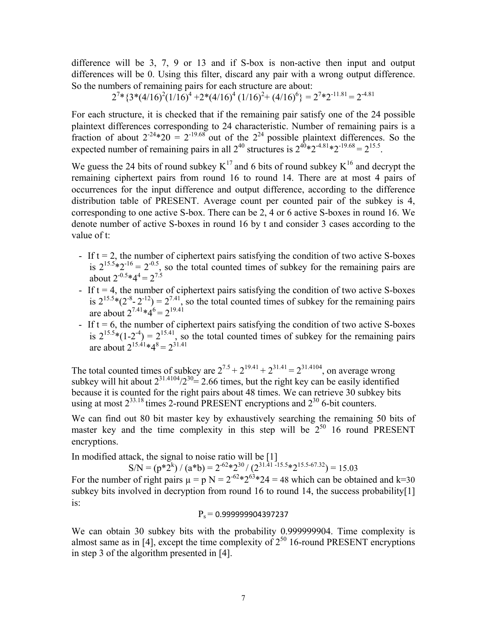difference will be 3, 7, 9 or 13 and if S-box is non-active then input and output differences will be 0. Using this filter, discard any pair with a wrong output difference. So the numbers of remaining pairs for each structure are about:

$$
2^{7}*(3*(4/16)^2(1/16)^4 + 2*(4/16)^4(1/16)^2 + (4/16)^6) = 2^{7} * 2^{-11.81} = 2^{-4.81}
$$

For each structure, it is checked that if the remaining pair satisfy one of the 24 possible plaintext differences corresponding to 24 characteristic. Number of remaining pairs is a fraction of about  $2^{-24}*20 = 2^{-19.68}$  out of the  $2^{24}$  possible plaintext differences. So the expected number of remaining pairs in all  $2^{40}$  structures is  $2^{40}*2^{-4.81}*2^{-19.68} = 2^{15.5}$ .

We guess the 24 bits of round subkey  $K^{17}$  and 6 bits of round subkey  $K^{16}$  and decrypt the remaining ciphertext pairs from round 16 to round 14. There are at most 4 pairs of occurrences for the input difference and output difference, according to the difference distribution table of PRESENT. Average count per counted pair of the subkey is 4, corresponding to one active S-box. There can be 2, 4 or 6 active S-boxes in round 16. We denote number of active S-boxes in round 16 by t and consider 3 cases according to the value of t:

- If  $t = 2$ , the number of ciphertext pairs satisfying the condition of two active S-boxes is  $2^{15.5} \times 2^{-16} = 2^{-0.5}$ , so the total counted times of subkey for the remaining pairs are about  $2^{-0.5}$ \*4<sup>4</sup> =  $2^{7.5}$
- If  $t = 4$ , the number of ciphertext pairs satisfying the condition of two active S-boxes is  $2^{15.5}*(2^{-8}-2^{-12}) = 2^{7.41}$ , so the total counted times of subkey for the remaining pairs are about  $2^{7.41} * 4^6 = 2^{19.41}$
- If  $t = 6$ , the number of ciphertext pairs satisfying the condition of two active S-boxes is  $2^{15.5}*(1-2^{-4}) = 2^{15.41}$ , so the total counted times of subkey for the remaining pairs are about  $2^{15.41*48} = 2^{31.41}$

The total counted times of subkey are  $2^{7.5} + 2^{19.41} + 2^{31.41} = 2^{31.4104}$ , on average wrong subkey will hit about  $2^{31.4104}/2^{30} = 2.66$  times, but the right key can be easily identified because it is counted for the right pairs about 48 times. We can retrieve 30 subkey bits using at most  $2^{33.18}$  times 2-round PRESENT encryptions and  $2^{30}$  6-bit counters.

We can find out 80 bit master key by exhaustively searching the remaining 50 bits of master key and the time complexity in this step will be  $2^{50}$  16 round PRESENT encryptions.

In modified attack, the signal to noise ratio will be [1]

 $SN = (p * 2^{k}) / (a * b) = 2^{62} * 2^{30} / (2^{31.41 - 15.5} * 2^{15.5 - 67.32}) = 15.03$ For the number of right pairs  $\mu = p N = 2^{62} \times 2^{63} \times 24 = 48$  which can be obtained and k=30 subkey bits involved in decryption from round 16 to round 14, the success probability[1] is:

$$
P_s = 0.999999904397237
$$

We can obtain 30 subkey bits with the probability 0.999999904. Time complexity is almost same as in [4], except the time complexity of  $2^{50}$  16-round PRESENT encryptions in step 3 of the algorithm presented in [4].